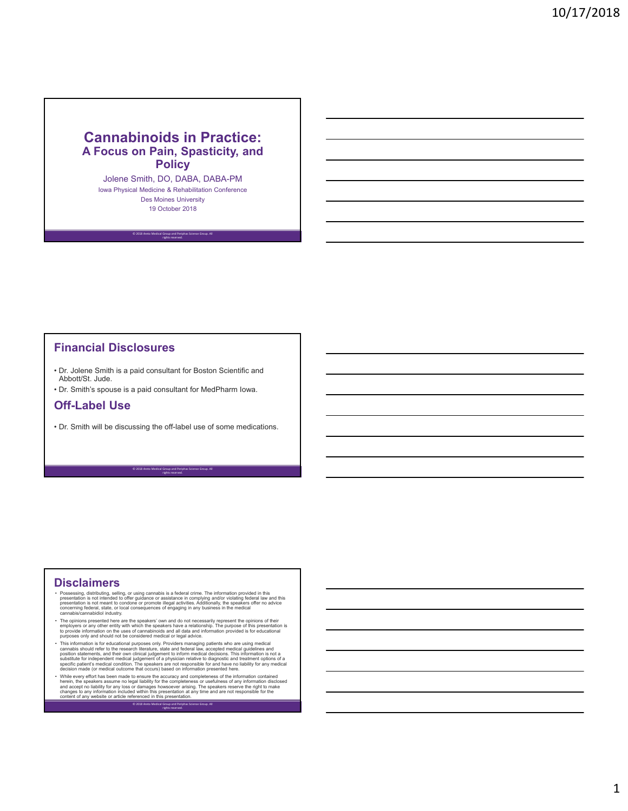#### **Cannabinoids in Practice: A Focus on Pain, Spasticity, and Policy**

Jolene Smith, DO, DABA, DABA-PM Iowa Physical Medicine & Rehabilitation Conference Des Moines University 19 October 2018

© 2018 Areto Medical Group and Periphas Science Group. All rights reserved.

#### **Financial Disclosures**

- Dr. Jolene Smith is a paid consultant for Boston Scientific and Abbott/St. Jude.
- Dr. Smith's spouse is a paid consultant for MedPharm Iowa.

#### **Off-Label Use**

• Dr. Smith will be discussing the off-label use of some medications.

© 2018 Areto Medical Group and Periphas Science Group. All rights reserved.

#### **Disclaimers**

- Possessing, distributing, selling, or using cannabis is a federal crime. The information provided in this presentation is not intended to offer guidance or assistance in complying and/or violating federal law and this pres
- The opinions presented here are the speakers' own and do not necessarily represent the opinions of their<br>• employers or any other entity with which the speakers have a relationship. The purpose of this presentation is<br>•
- This information is for educational purposes only. Providers managing patients who are using medical<br>cannabis should refer to the research literature, state and federal law, accepted medical guidelines and<br>position state
- While every effort has been made to ensure the accuracy and completeness of the information contained herein, the speakers assume no legal liability for reference and accept no llability of any loss or damages howsoever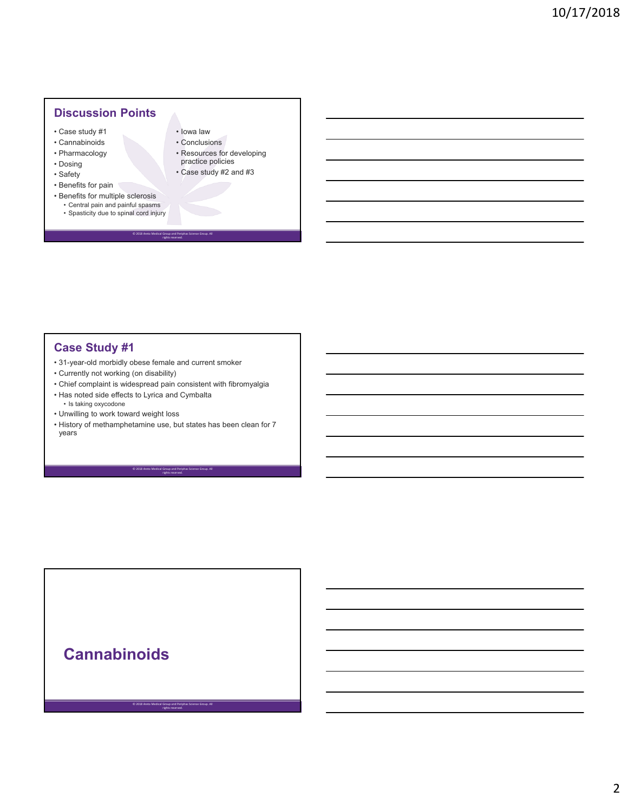### **Discussion Points**

- Case study #1
- Cannabinoids
- Pharmacology
- Dosing
- Safety
- Benefits for pain
- Benefits for multiple sclerosis
	- Central pain and painful spasms • Spasticity due to spinal cord injury
- Iowa law • Conclusions
- 
- Resources for developing practice policies
- Case study #2 and #3

## **Case Study #1**

- 31-year-old morbidly obese female and current smoker
- Currently not working (on disability)
- Chief complaint is widespread pain consistent with fibromyalgia

© 2018 Areto Medical Group and Periphas Science Group. All rights reserved.

- Has noted side effects to Lyrica and Cymbalta • Is taking oxycodone
- Unwilling to work toward weight loss
- History of methamphetamine use, but states has been clean for 7 years

© 2018 Areto Medical Group and Periphas Science Group. All rights reserved.

© 2018 Areto Medical Group and Periphas Science Group. All rights reserved.

# **Cannabinoids**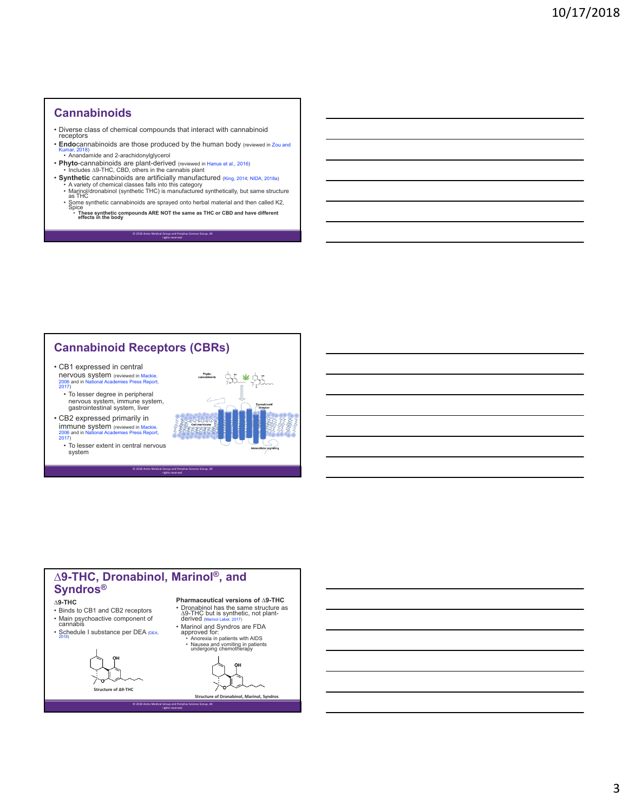#### **Cannabinoids**

- Diverse class of chemical compounds that interact with cannabinoid receptors
- **Endo**cannabinoids are those produced by the human body (reviewed in Zou and • Anandamide and 2-arachidonylglycerol
- **Phyto**-cannabinoids are plant-derived (reviewed in Hanus et al., 2016) Includes ∆9-THC, CBD, others in the cannabis plant
- **Synthetic** cannabinoids are artificially manufactured (King, 2014; NIDA, 2018a)
	- A variety of chemical classes falls into this category<br>• Marinol/dronabinol (synthetic THC) is manufactured synthetically, but same structure<br>- as THC
	- Some synthetic cannabinoids are sprayed onto herbal material and then called K2,<br>Spice
	- **These synthetic compounds ARE NOT the same as THC or CBD and have different effects in the body**

© 2018 Areto Medical Group and Periphas Science Group. All rights reserved.

#### **Cannabinoid Receptors (CBRs)**

- CB1 expressed in central nervous system (reviewed in Mackie,<br>2006 and in National Academies Press Report, 2017)
	- To lesser degree in peripheral nervous system, immune system, gastrointestinal system, liver
- CB2 expressed primarily in **immune system** (reviewed in Mackie,<br>2006 and in National Academies Press Report, 2006 and in N<br>2017)
	- To lesser extent in central nervous system



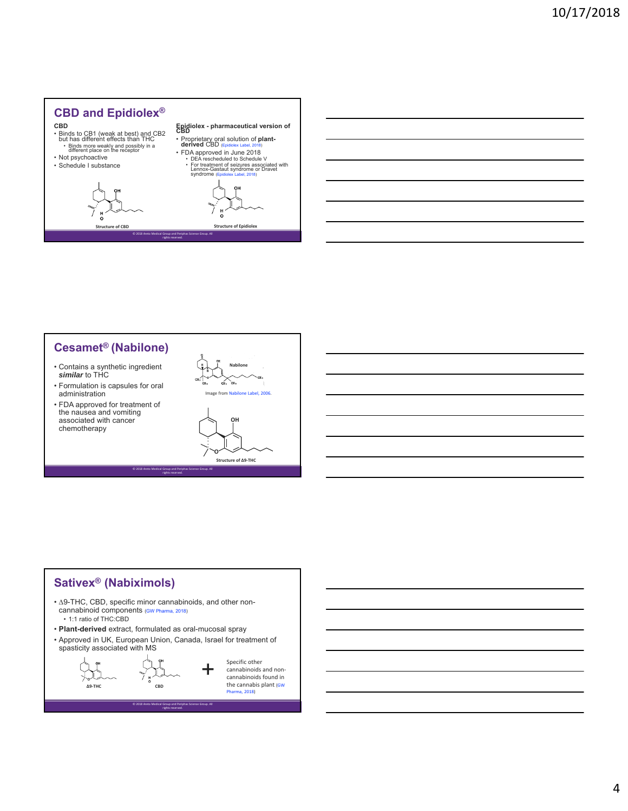

#### **Cesamet® (Nabilone)**

- Contains a synthetic ingredient *similar* to THC
- Formulation is capsules for oral administration
- FDA approved for treatment of the nausea and vomiting associated with cancer chemotherapy



**Structure of ∆9‐THC** 

**O**

#### **Sativex® (Nabiximols)**

- ∆9-THC, CBD, specific minor cannabinoids, and other noncannabinoid components (GW Pharma, 2018)
	- 1:1 ratio of THC:CBD
- **Plant-derived** extract, formulated as oral-mucosal spray
- Approved in UK, European Union, Canada, Israel for treatment of spasticity associated with MS

© 2018 Areto Medical Group and Periphas Science Group. All rights reserved.

© 2018 Areto Medical Group and Periphas Science Group. All rights reserved.



Specific other cannabinoids and noncannabinoids found in the cannabis plant (GW  $2018$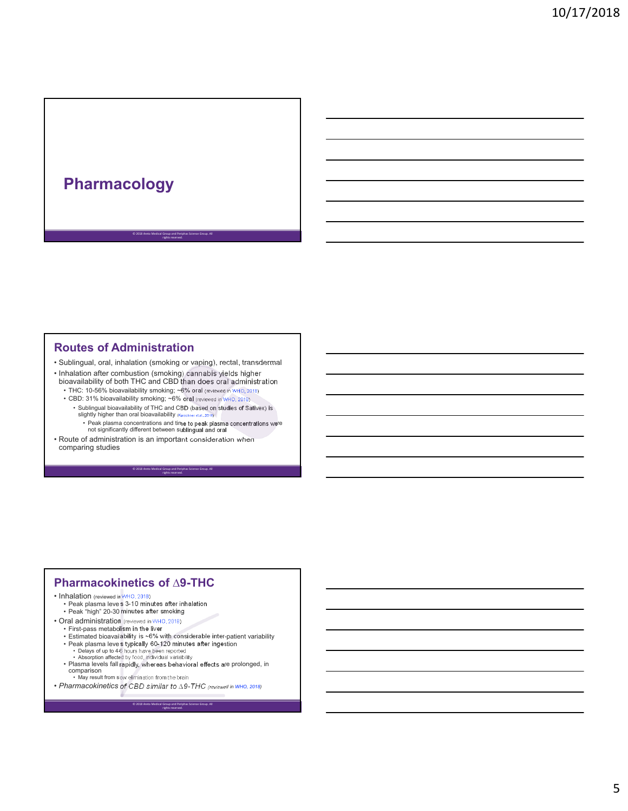# **Pharmacology**

#### **Routes of Administration**

• Sublingual, oral, inhalation (smoking or vaping), rectal, transdermal

© 2018 Areto Medical Group and Periphas Science Group. All rights reserved.

- Inhalation after combustion (smoking) cannabis yields higher bioavailability of both THC and CBD than does oral administration
	- THC: 10-56% bioavailability smoking; ~6% oral (reviewed in WHO, 2018)
	- CBD: 31% bioavailability smoking; ~6% oral (reviewed in WHO, 2018)
		- Sublingual bioavailability of THC and CBD (based on studies of Sativex) is<br>slightly higher than oral bioavailability (Karschner et al., 2011)

© 2018 Areto Medical Group and Periphas Science Group. All rights reserved.

• Peak plasma concentrations and time to peak plasma concentrations were not significantly different between sublingual and oral • Route of administration is an important consideration when comparing studies

#### **Pharmacokinetics of ∆9-THC**

#### • Inhalation (reviewed in WHO, 2018) • Peak plasma levels 3-10 minutes after inhalation • Peak "high" 20-30 minutes after smoking

- 
- Oral administration (reviewed in WHO, 2018)
	- First-pass metabolism in the liver Estimated bioavailability is ~6% with considerable inter-patient variability
	- Peak plasma levels typically 60-120 minutes after ingestion

- Delays of up to 4-6 hours have been reported Absorption affected by food, individual variability • Plasma levels fall rapidly, whereas behavioral effects are prolonged, in comparison
	- May result from slow elimination from the brain
- *Pharmacokinetics of CBD similar to ∆9-THC (reviewed in WHO, 2018)*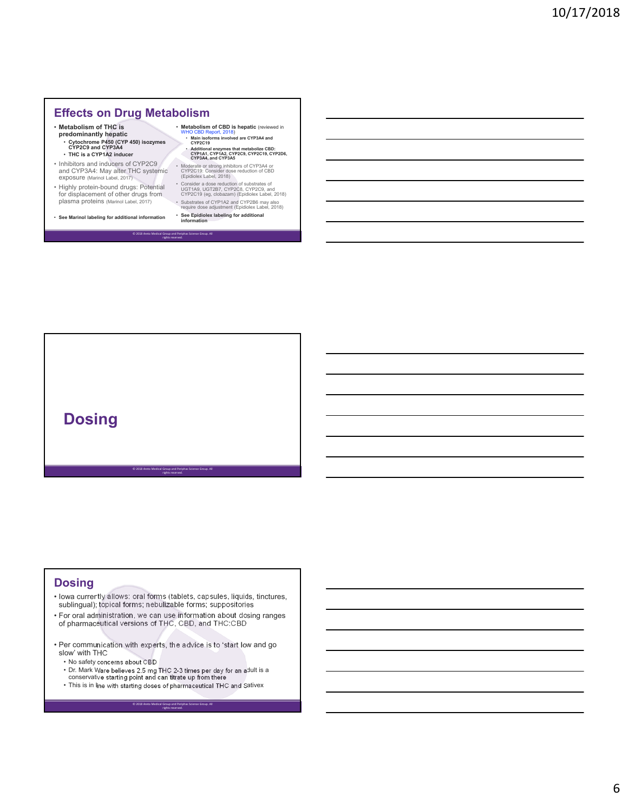#### **Effects on Drug Metabolism**

- **Metabolism of THC is**
- **predominantly hepatic** • **Cytochrome P450 (CYP 450) isozymes CYP2C9 and CYP3A4** • **THC is a CYP1A2 inducer**
- Inhibitors and inducers of CYP2C9 and CYP3A4: May alter THC systemic exposure (Marinol Label, 2017)
- Highly protein-bound drugs: Potential for displacement of other drugs from plasma proteins (Marinol Label, 2017)
- **See Marinol labeling for additional information**

© 2018 Areto Medical Group and Periphas Science Group. All rights reserved.

- **Metabolism of CBD is hepatic** (reviewed in
	- WHO CBD Report, 2018) **Main isoforms involved are CYP3A4 and CYP2C19** • **Additional enzymes that metabolize CBD: CYP1A1, CYP1A2, CYP2C9, CYP2C19, CYP2D6, CYP3A4, and CYP3A5**

• Moderate or strong inhibitors of CYP3A4 or CYP2C19: Consider dose reduction of CBD (Epidiolex Label, 2018)

• Consider a dose reduction of substrates of UGT1A9, UGT2B7, CYP2C8, CYP2C9, and CYP2C19 (eg, clobazam) (Epidiolex Label, 2018) • Substrates of CYP1A2 and CYP2B6 may also require dose adjustment (Epidiolex Label, 2018)

• **See Epidiolex labeling for additional information**

# **Dosing**

#### **Dosing**

• Iowa currently allows: oral forms (tablets, capsules, liquids, tinctures, sublingual); topical forms; nebulizable forms; suppositories

© 2018 Areto Medical Group and Periphas Science Group. All rights reserved.

- For oral administration, we can use information about dosing ranges of pharmaceutical versions of THC, CBD, and THC:CBD
- Per communication with experts, the advice is to 'start low and go slow' with THC
	- No safety concerns about CBD
	- Dr. Mark Ware believes 2.5 mg THC 2-3 times per day for an adult is a conservative starting point and can titrate up from there

© 2018 Areto Medical Group and Periphas Science Group. All rights reserved.

• This is in line with starting doses of pharmaceutical THC and Sativex

6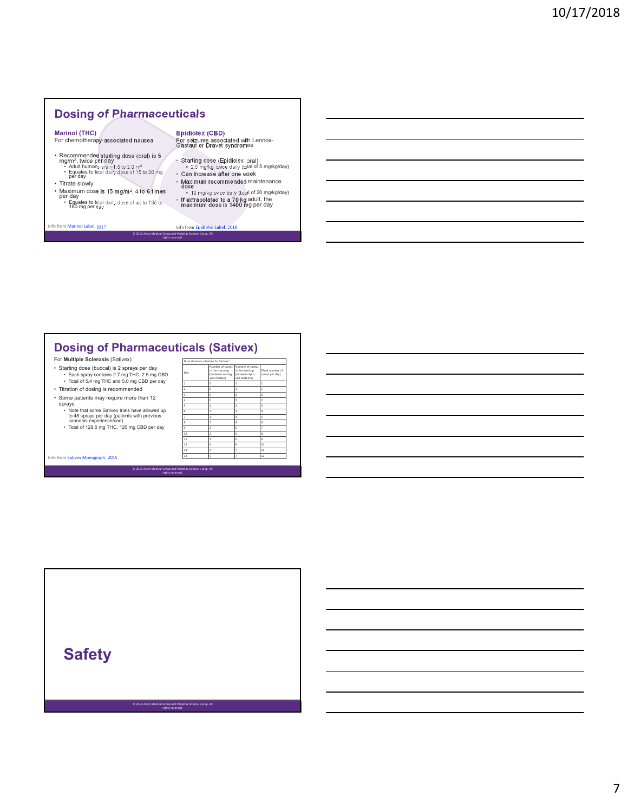#### **Dosing of Pharmaceuticals**

**Marinol (THC)** For chemotherapy-associated nausea

- Recommended starting dose (oral) is 5<br>
mg/m<sup>2</sup>, twice per day<br>
 Adult humans are ~1.5 to 2.0 m<sup>2</sup><br>
 Equates to total daily dose of 15 to 20 mg<br>
per day
- Titrate slowly
- Maximum dose is 15 mg/m², 4 to 6 times per day • Equates to total daily dose of up to 135 to 180 mg per day

**Epidiolex (CBD)** For seizures associated with Lennox-Gastaut or Dravet syndromes

- Starting dose (Epidiolex; oral) 2.5 mg/kg, twice daily (total of 5 mg/kg/day) Can increase after one week
- 
- Maximum recommended maintenance dose 10 mg/kg twice daily (total of 20 mg/kg/day)

• If extrapolated to a 70 kg adult, the maximum dose is 1400 mg per day

© 2018 Areto Medical Group and Periphas Science Group. All rights reserved. I, 2017 Info from Epidiolex Label, 2018

#### **Dosing of Pharmaceuticals (Sativex)**

rights reserved.

© 2018 Areto Medical Group and Periphas Science Group. All rights reserved.

- For **Multiple Sclerosis** (Sativex)
- Starting dose (buccal) is 2 sprays per day Each spray contains 2.7 mg THC, 2.5 mg CBD Total of 5.4 mg THC and 5.0 mg CBD per day
- Titration of dosing is recommended
- 
- Some patients may require more than 12 sprays
	- Note that some Sativex trials have allowed up to 48 sprays per day (patients with previous cannabis experience/use) Total of 129.6 mg THC, 120 mg CBD per day

Info from Sativex Monograph, 2015

© 2018 Areto Medical Group and Periphas Science Group. All

|                  | Dose titration schedule for Sativex <sup>1</sup>                     |                                                                    |                                     |
|------------------|----------------------------------------------------------------------|--------------------------------------------------------------------|-------------------------------------|
| Day              | Number of sprays<br>in the morning<br>(between waking<br>and midday) | Number of sprays<br>in the evening<br>(between 4pm<br>and bedtime) | (Total number of<br>sprays per day) |
| $\mathbf{1}$     | o                                                                    | 1                                                                  | $\overline{1}$                      |
| $\overline{2}$   | o                                                                    | $\overline{1}$                                                     | $\overline{1}$                      |
| 3                | o                                                                    | $\overline{2}$                                                     | $\overline{2}$                      |
| 4                | o                                                                    | $\overline{2}$                                                     | $\overline{2}$                      |
| 5                | 1                                                                    | ż                                                                  | $\overline{\mathbf{a}}$             |
| 6                | 1                                                                    | 3                                                                  | 4                                   |
| z                | 1                                                                    | Δ                                                                  | 5                                   |
| $\boldsymbol{8}$ | $\overline{2}$                                                       | 4                                                                  | 6                                   |
| 9                | $\overline{2}$                                                       | 5                                                                  | z                                   |
| 10               | 3                                                                    | 5                                                                  | $\boldsymbol{8}$                    |
| 11               | 3                                                                    | 6                                                                  | $\ddot{q}$                          |
| 12               | 4                                                                    | 6                                                                  | 10                                  |
| 13               | Δ                                                                    | ž                                                                  | 11                                  |
| 14               | 5                                                                    | ž                                                                  | 12                                  |

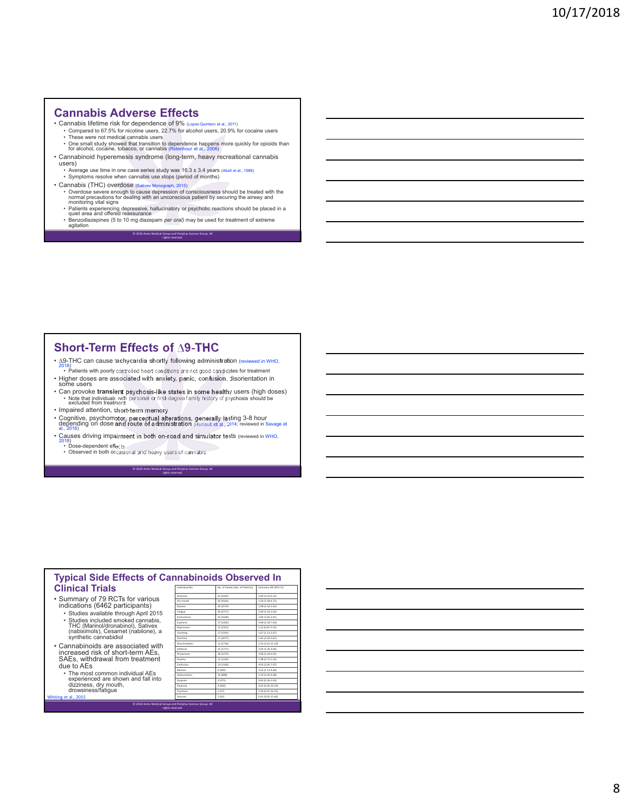#### **Cannabis Adverse Effects**

- 
- Cannabis lifetime risk for dependence of  $9\%$  (Lopez-Quintero et al., 2011)<br>• Compared to 67.5% for ricotine users, 22.7% for alcohol users, 20.9% for cocaine users<br>• These were not medical cannabis users<br>• One small s
- Cannabinoid hyperemesis syndrome (long-term, heavy recreational cannabis
- users) • Average use time in one case series study was 16.3 ± 3.4 years (Abell et al., 1988)
- Symptoms resolve when cannabis use stops (period of months)
- 
- Cannabis (THC) overdose (salivex Monograph, 2015)<br>• Overdose severe enough to cause depression of consciousness should be treated with the<br>normal precautions for dealing with an unconscious patient by securing the airway
	-
	-

© 2018 Areto Medical Group and Periphas Science Group. All rights reserved.

#### **Short-Term Effects of ∆9-THC**

• ∆9-THC can cause tachycardia shortly following administration (reviewed in WHO, 2018)

- Patients with poorly controlled heart conditions are not good candidates for treatment • Higher doses are associated with anxiety, panic, confusion, disorientation in some users
- Can provoke **transient** psychosis-like states in some healthy users (high doses)<br>• Note that individuals with personal or first-degree family history of psychosis should be<br>excluded from treatment
- Impaired attention, short-term memory
- Cognitive, psychomotor, perceptual alterations, generally lasting 3-8 hour<br>depending on dose and route of administration (Hunault et al., 2014; reviewed in Savage et<br>al., 2016)
- Causes driving impairment in both on-road and simulator tests (reviewed in WHO,

© 2018 Areto Medical Group and Periphas Science Group. All rights reserved.

• Dose-dependent effects • Observed in both occasional and heavy users of cannabis

| <b>Typical Side Effects of Cannabinoids Observed In</b><br><b>Clinical Trials</b><br>No. of Studies (No. of Patients)<br>Individual AFs<br>Summary OR (95% CI) |                   |           |                   |  |  |
|----------------------------------------------------------------------------------------------------------------------------------------------------------------|-------------------|-----------|-------------------|--|--|
|                                                                                                                                                                |                   |           |                   |  |  |
| • Summary of 79 RCTs for various                                                                                                                               | Dizzinoss         | 41 (4243) | 5.09 (4.10-6.32)  |  |  |
|                                                                                                                                                                | Dry mouth         | 36 (4181) | 3.50 (2.58-4.75)  |  |  |
| indications (6462 participants)                                                                                                                                | Naucea            | 30 (3579) | 2.08 (1.63-2.65)  |  |  |
| · Studies available through April 2015                                                                                                                         | Fatigue           | 20 (2717) | 2.00 (1.54-2.62)  |  |  |
|                                                                                                                                                                | Somnolence        | 26 (3168) | 2.83 (2.05-3.91)  |  |  |
| · Studies included smoked cannabis,                                                                                                                            | Euphoria          | 27 (2420) | 4.08 (2.18-7.64)  |  |  |
| THC (Marinol/dronabinol), Sativex                                                                                                                              | Denression        | 15 (2353) | 1.32 (0.87-2.01)  |  |  |
| (nabiximols), Cesamet (nabilone), a                                                                                                                            | Vomiting          | 17 (2191) | 1.67 (1.13-2.47)  |  |  |
| synthetic cannabidiol                                                                                                                                          | Diamhea           | 17 (2077) | 1.65 (1.04-2.62)  |  |  |
| • Cannabinoids are associated with                                                                                                                             | Disorientation    | 12 (1736) | 5.41 (2.61-11.19) |  |  |
|                                                                                                                                                                | Asthonia          | 15 (1717) | 2.03 (1.35-3.06)  |  |  |
| increased risk of short-term AEs.                                                                                                                              | <b>Drowsinoss</b> | 18 (1272) | 3.68 (2.24-6.01)  |  |  |
| SAEs, withdrawal from treatment                                                                                                                                | Anxiety           | 12 (1242) | 1.98 (0.73-5.35)  |  |  |
| due to AEs                                                                                                                                                     | Confusion         | 13 (1160) | 4.03 (2.05-7.97)  |  |  |
|                                                                                                                                                                | Ralance           | 6 (920)   | 2.62 (1.12-4.68)  |  |  |
| • The most common individual AEs                                                                                                                               | Hallucination     | 10 (898)  | 2.19 (1.02-4.68)  |  |  |
| experienced are shown and fall into                                                                                                                            | Dyspnea           | 4 (375)   | 0.83 (0.26-2.63)  |  |  |
| dizziness, dry mouth,                                                                                                                                          | Parannia          | 4 (492)   | 2.05 (0.42-10.10) |  |  |
| drowsiness/fatigue                                                                                                                                             | Psychosis         | 2 (37)    | 1.09 (0.07-16.35) |  |  |
| Whiting et al., 2015                                                                                                                                           | Seizures          | 2(42)     | 0.91 (0.05-15.66) |  |  |

rights reserved.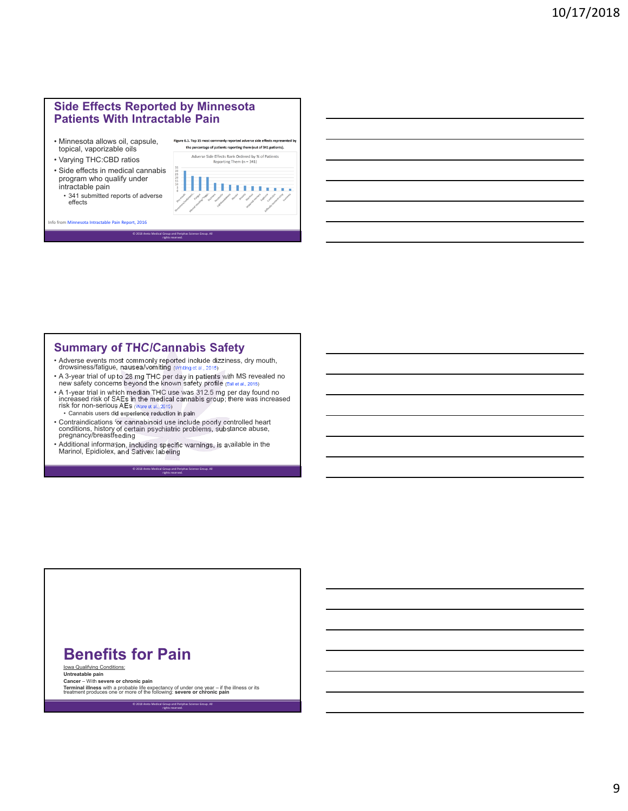#### **Side Effects Reported by Minnesota Patients With Intractable Pain**

- Minnesota allows oil, capsule, topical, vaporizable oils
- Varying THC:CBD ratios
- Side effects in medical cannabis program who qualify under intractable pain
- 341 submitted reports of adverse effects

Info from Minnesota Intractable Pain Report, 2016



#### **Summary of THC/Cannabis Safety**

 $@ 2018$  Areto Me

- Adverse events most commonly reported include dizziness, dry mouth, drowsiness/fatigue, nausea/vomiting (Whiting et al., 2015)
- A 3-year trial of up to 28 mg THC per day in patients with MS revealed no new safety concerns beyond the known safety profile (Ball et al., 2015)

rights reserved.

• A 1-year trial in which median THC use was 312.5 mg per day found no increased risk of SAEs in the medical cannabis group; there was increased<br>risk for non-serious AEs (ware et al., 2015) • Cannabis users did experience reduction in pain

> © 2018 Areto Medical Group and Periphas Science Group. All rights reserved.

- 
- Contraindications for cannabinoid use include poorly controlled heart conditions, history of certain psychiatric problems, substance abuse, pregnancy/breastfeeding
- Additional information, including specific warnings, is available in the Marinol, Epidiolex, and Sativex labeling



Iowa Qualifying Conditions: **Untreatable pain**

**Cancer** – With **severe or chronic pain**

**Terminal illness** with a probable life expectancy of under one year – if the illness or its treatment produces one or more of the following: **severe or chronic pain**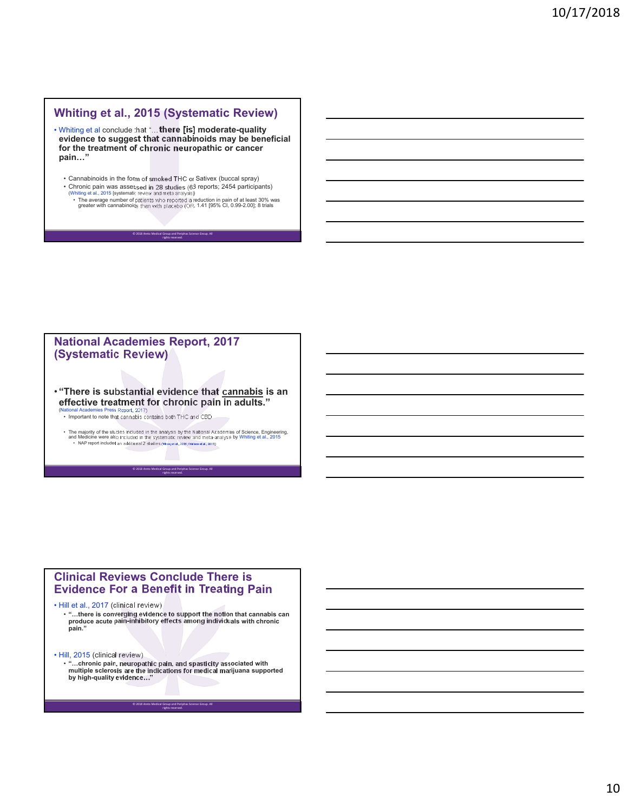#### **Whiting et al., 2015 (Systematic Review)**

- Whiting et al conclude that "…**there [is] moderate-quality evidence to suggest that cannabinoids may be beneficial for the treatment of chronic neuropathic or cancer pain…"**
	- Cannabinoids in the form of smoked THC or Sativex (buccal spray)<br>• Chronic pain was assessed in 28 studies (63 reports; 2454 participants)
	- Chronic pain was assessed in 28 studies (63 reports; 2454 participants)<br>(Whiting et al., 2015 [systematic review and meta analysis])<br>• The average number of patients who reported a reduction in pain of at least 30% was<br>g

© 2018 Areto Medical Group and Periphas Science Group. All rights reserved.

#### **National Academies Report, 2017 (Systematic Review)**

• **"There is substantial evidence that cannabis is an effective treatment for chronic pain in adults."** 

(National Academies Press Report, 2017) • Important to note that cannabis contains both THC and CBD

• The majority of the studies included in the analysis by the National Academies of Science, Engineering,<br>and Medicine were also included in the systematic review and meta-analysis by Whiting et al., 2015<br>• NAP report in

© 2018 Areto Medical Group and Periphas Science Group. All rights reserved.

#### **Clinical Reviews Conclude There is Evidence For a Benefit in Treating Pain**

• Hill et al., 2017 (clinical review)

• **"…there is converging evidence to support the notion that cannabis can produce acute pain-inhibitory effects among individuals with chronic pain."**

• Hill, 2015 (clinical review)

• **"…chronic pain, neuropathic pain, and spasticity associated with multiple sclerosis are the indications for medical marijuana supported by high-quality evidence…"**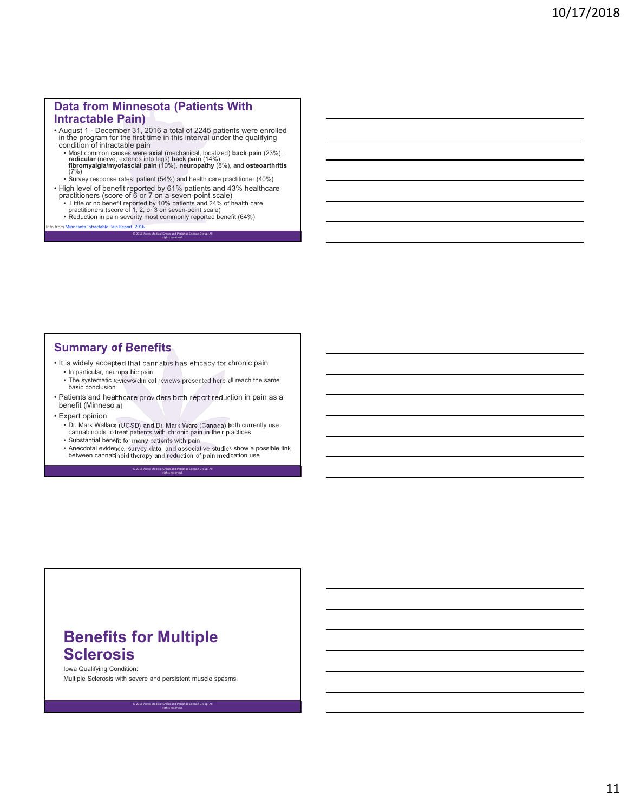#### **Data from Minnesota (Patients With Intractable Pain)**

- August 1 December 31, 2016 a total of 2245 patients were enrolled in the program for the first time in this interval under the qualifying condition of intractable pain
	- Most common causes were **axial** (mechanical, localized) **back pain** (23%),<br>**radicular** (nerve, extends into legs) **back pain** (14%),<br>**fibromyalgia/myofascial pain** (10%), **neuropathy** (8%), and **osteoarthritis**  $(7%)$
	- Survey response rates: patient (54%) and health care practitioner (40%)
- High level of benefit reported by 61% patients and 43% healthcare<br>practitioners (score of 6 or 7 on a seven-point scale)<br>• Little or no benefit reported by 10% patients and 24% of health care<br>practitioners (score of 1,

rights reserved.

ence Group. A

- 
- 

#### **Summary of Benefits**

Info from Minnesota Intractable Pain Report, 2016

- It is widely accepted that cannabis has efficacy for chronic pain
	- In particular, neuropathic pain
- The systematic reviews/clinical reviews presented here all reach the same basic conclusion • Patients and healthcare providers both report reduction in pain as a
- benefit (Minnesota)
- Expert opinion • Dr. Mark Wallace (UCSD) and Dr. Mark Ware (Canada) both currently use cannabinoids to treat patients with chronic pain in their practices
	- Substantial benefit for many patients with pain
	- Anecdotal evidence, survey data, and associative studies show a possible link between cannabinoid therapy and reduction of pain medication use © 2018 Areto Medical Group and Periphas Science Group. All

rights reserved.

# **Benefits for Multiple Sclerosis**

Iowa Qualifying Condition:

Multiple Sclerosis with severe and persistent muscle spasms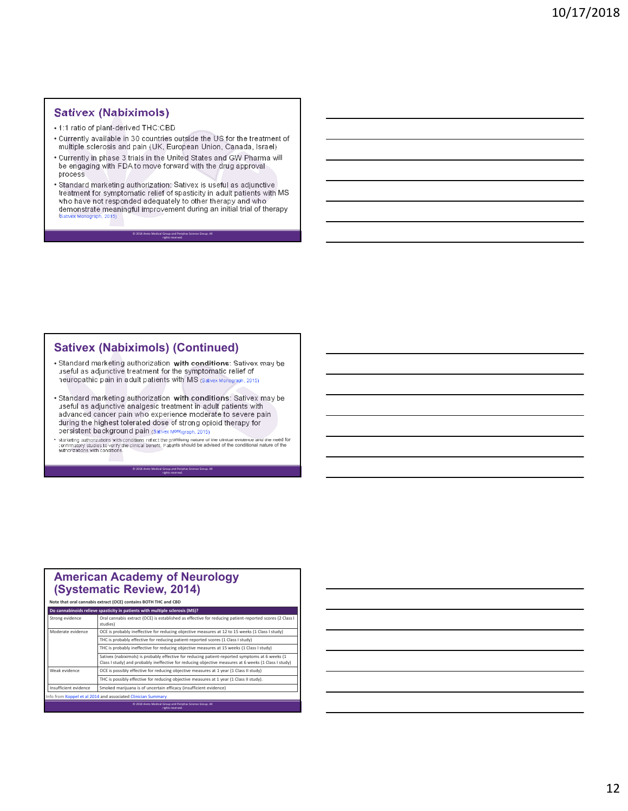#### **Sativex (Nabiximols)**

• 1:1 ratio of plant-derived THC:CBD

- Currently available in 30 countries outside the US for the treatment of multiple sclerosis and pain (UK, European Union, Canada, Israel)
- Currently in phase 3 trials in the United States and GW Pharma will be engaging with FDA to move forward with the drug approval process
- Standard marketing authorization: Sativex is useful as adjunctive<br>treatment for symptomatic relief of spasticity in adult patients with MS<br>who have not responded adequately to other therapy and who<br>demonstrate meaningfu

© 2018 Areto Medical Group and Periphas Science Group. All rights reserved.

#### **Sativex (Nabiximols) (Continued)**

- Standard marketing authorization **with conditions**: Sativex may be useful as adjunctive treatment for the symptomatic relief of neuropathic pain in adult patients with MS (Sativex Monograph, 2015)
- Standard marketing authorization **with conditions**: Sativex may be useful as adjunctive analgesic treatment in adult patients with advanced cancer pain who experience moderate to severe pain during the highest tolerated dose of strong opioid therapy for persistent background pain (Sativex Monograph, 2015)
- Marketing authorizations with conditions reflect the promising nature of the clinical evidence and the need for<br>confirmatory studies to verify the clinical benefit. Patients should be advised of the conditional nature of

© 2018 Areto Medical Group and Periphas Science Group. All rights reserved.

|                       | (Systematic Review, 2014)                                                                                                                                                                               |  |
|-----------------------|---------------------------------------------------------------------------------------------------------------------------------------------------------------------------------------------------------|--|
|                       | Note that oral cannabis extract (OCE) contains BOTH THC and CBD                                                                                                                                         |  |
|                       | Do cannabinoids relieve spasticity in patients with multiple sclerosis (MS)?                                                                                                                            |  |
| Strong evidence       | Oral cannabis extract (OCE) is established as effective for reducing patient-reported scores (2 Class I<br>studies)                                                                                     |  |
| Moderate evidence     | OCE is probably ineffective for reducing objective measures at 12 to 15 weeks (1 Class I study)                                                                                                         |  |
|                       | THC is probably effective for reducing patient-reported scores (1 Class I study)                                                                                                                        |  |
|                       | THC is probably ineffective for reducing objective measures at 15 weeks (1 Class I study)                                                                                                               |  |
|                       | Sativex (nabiximols) is probably effective for reducing patient-reported symptoms at 6 weeks (1<br>Class I study) and probably ineffective for reducing objective measures at 6 weeks (1 Class I study) |  |
| Weak evidence         | OCE is possibly effective for reducing objective measures at 1 year (1 Class II study)                                                                                                                  |  |
|                       | THC is possibly effective for reducing objective measures at 1 year (1 Class II study).                                                                                                                 |  |
| Insufficient evidence | Smoked marijuana is of uncertain efficacy (insufficient evidence)                                                                                                                                       |  |
|                       | Info from Koppel et al 2014 and associated Clinician Summary                                                                                                                                            |  |
|                       | © 2018 Areto Medical Group and Periphas Science Group, All                                                                                                                                              |  |

rights reserved.

#### **American Academy of Neurology (Systematic Review, 2014)**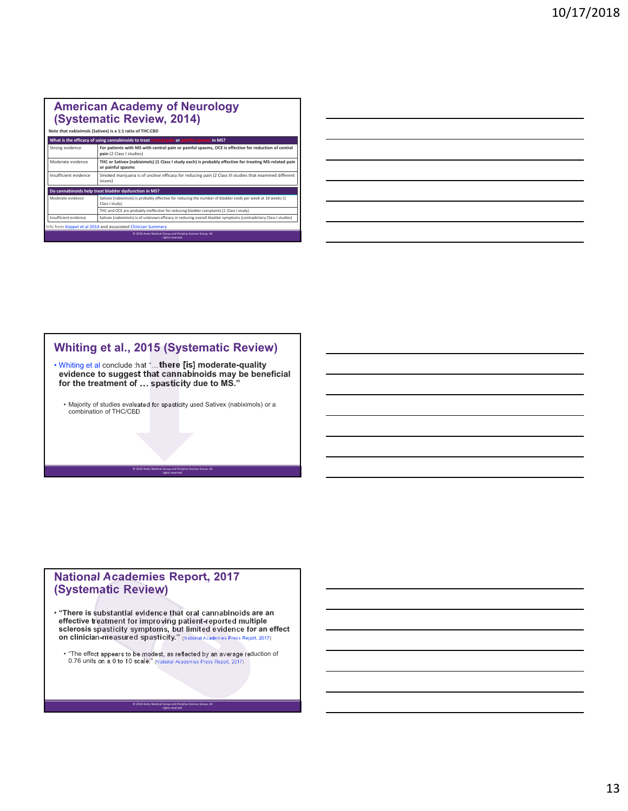#### **American Academy of Neurology (Systematic Review, 2014)**

|                       | Note that nabiximols (Sativex) is a 1:1 ratio of THC:CBD                                                                        |  |  |
|-----------------------|---------------------------------------------------------------------------------------------------------------------------------|--|--|
|                       | What is the efficacy of using cannabinoids to treat central pain or painful spasms<br>in MS?                                    |  |  |
| Strong evidence       | For patients with MS with central pain or painful spasms, OCE is effective for reduction of central<br>pain (2 Class I studies) |  |  |
| Moderate evidence     | THC or Sativex (nabiximols) (1 Class I study each) is probably effective for treating MS-related pain<br>or painful spasms      |  |  |
| Insufficient evidence | Smoked marijuana is of unclear efficacy for reducing pain (2 Class III studies that examined different<br>issues)               |  |  |
|                       | Do cannabinoids help treat bladder dysfunction in MS?                                                                           |  |  |
| Moderate evidence     | Sativex (nabiximols) is probably effective for reducing the number of bladder voids per week at 10 weeks (1<br>Class I study)   |  |  |
|                       | THC and OCE are probably ineffective for reducing bladder complaints (1 Class I study)                                          |  |  |
| Insufficient evidence | Sativex (nabiximols) is of unknown efficacy in reducing overall bladder symptoms (contradictory Class I studies)                |  |  |
|                       | Info from Koppel et al 2014 and associated Clinician Summary                                                                    |  |  |
|                       | © 2018 Areto Medical Group and Periphas Science Group. All<br>rights reserved.                                                  |  |  |

#### **Whiting et al., 2015 (Systematic Review)**

• Whiting et al conclude that "…**there [is] moderate-quality evidence to suggest that cannabinoids may be beneficial for the treatment of … spasticity due to MS."**

• Majority of studies evaluated for spasticity used Sativex (nabiximols) or a combination of THC/CBD

© 2018 Areto Medical Group and Periphas Science Group. All rights reserved.

#### **National Academies Report, 2017 (Systematic Review)**

• "There is substantial evidence that oral cannabinoids are an<br>effective treatment for improving patient-reported multiple<br>sclerosis spasticity symptoms, but limited evidence for an effect<br>on clinician-measured spasticity

• "The effect appears to be modest, as reflected by an average reduction of 0.76 units on a 0 to 10 scale." (National Academies Press Report, 2017)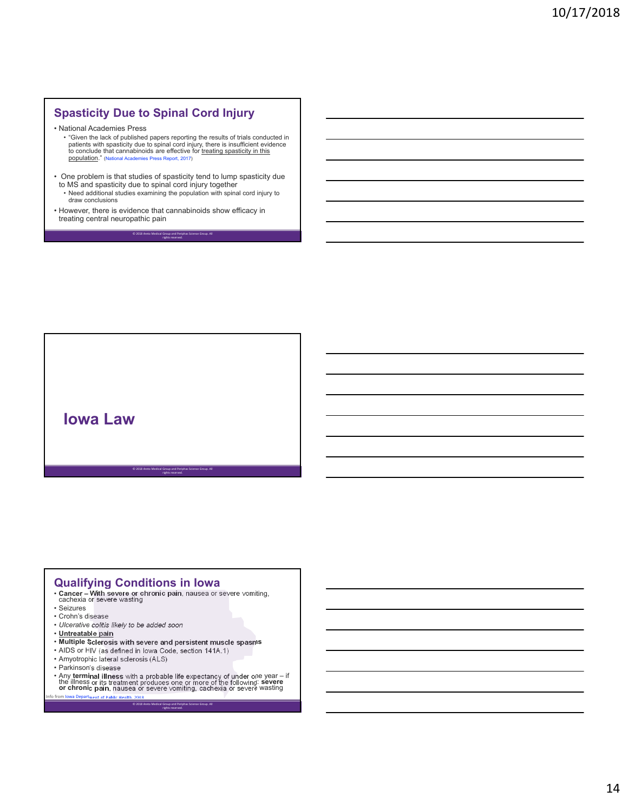## **Spasticity Due to Spinal Cord Injury**

- National Academies Press
	- "Given the lack of published papers reporting the results of trials conducted in patients with spasticity due to spinal cord injury, there is insufficient evidence<br>to conclude that cannabinoids are effective for <u>treating spasticity in this</u> population." (National Academies Press Report, 2017)
- One problem is that studies of spasticity tend to lump spasticity due to MS and spasticity due to spinal cord injury together • Need additional studies examining the population with spinal cord injury to draw conclusions

© 2018 Areto Medical Group and Periphas Science Group. All rights reserved.

• However, there is evidence that cannabinoids show efficacy in treating central neuropathic pain

**Iowa Law**

#### **Qualifying Conditions in Iowa**

• **Cancer – With severe or chronic pain**, nausea or severe vomiting,<br>cachexia or severe wasting

© 2018 Areto Medical Group and Periphas Science Group. All rights reserved.

- Seizures
- Crohn's disease
- *Ulcerative colitis likely to be added soon*
- **Untreatable pain**
- **Multiple Sclerosis with severe and persistent muscle spasms**
- AIDS or HIV (as defined in Iowa Code, section 141A.1)

 $© 2018$  Areto Medical

- Amyotrophic lateral sclerosis (ALS)
- Parkinson's disease
- Any terminal illness with a probable life expectancy of under one year if<br>the illness or its treatment produces one or more of the following: **severe**<br>or chronic pain, nausea or severe vomiting, cachexia or severe wast Informent of Public Health, 2018

rights reserved.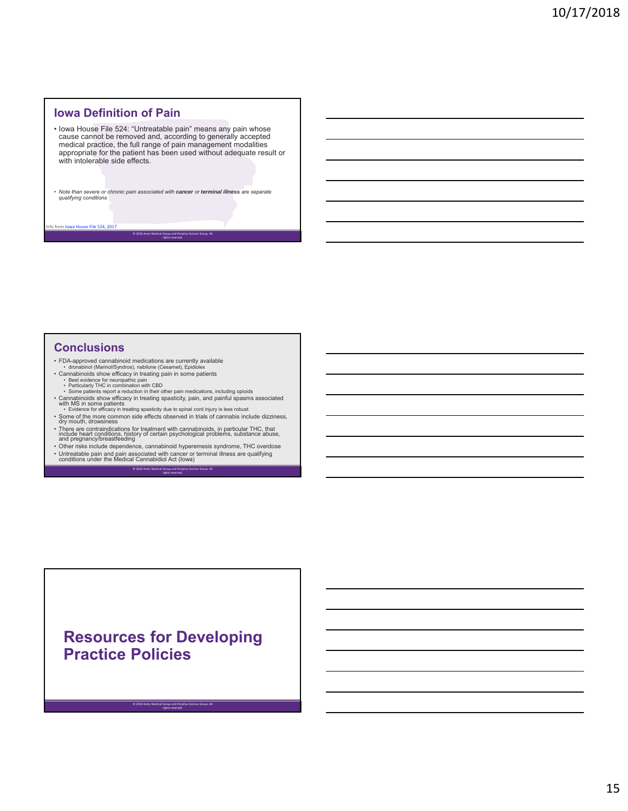#### **Iowa Definition of Pain**

- Iowa House File 524: "Untreatable pain" means any pain whose cause cannot be removed and, according to generally accepted medical practice, the full range of pain management modalities appropriate for the patient has been used without adequate result or with intolerable side effects.
- *Note than severe or chronic pain associated with cancer or terminal illness are separate qualifying conditions*

© 2018 Areto Medical Group and Periphas Science Group. All rights reserved.

#### **Conclusions**

 $.524$ 

- 
- FDA-approved cannabinoid medications are currently available<br>• dronabinoid (Marinol/Syndros), nabilone (Cesamet), Epidiolex<br>• Cannabinoids show efficacy in treating pain in some patients<br>• Best evidence for neuropathic
- 
- Cannabinoids show efficacy in treating spasticity, pain, and painful spasms associated<br>with MS in some patients<br>• Evidence for efficacy in treating spasticity due to spinal cord injury is less robust<br>• Some of the more c
- There are contraindications for treatment with cannabinoids, in particular THC, that<br>include heart conditions, history of certain psychological problems, substance abuse,<br>and pregnancy/breastfeeding<br>• Other risks include
- Untreatable pain and pain associated with cancer or terminal illness are qualifying conditions under the Medical Cannabidiol Act (Iowa)

© 2018 Areto Medical Group and Periphas Science Group. All rights reserved.

# **Resources for Developing Practice Policies**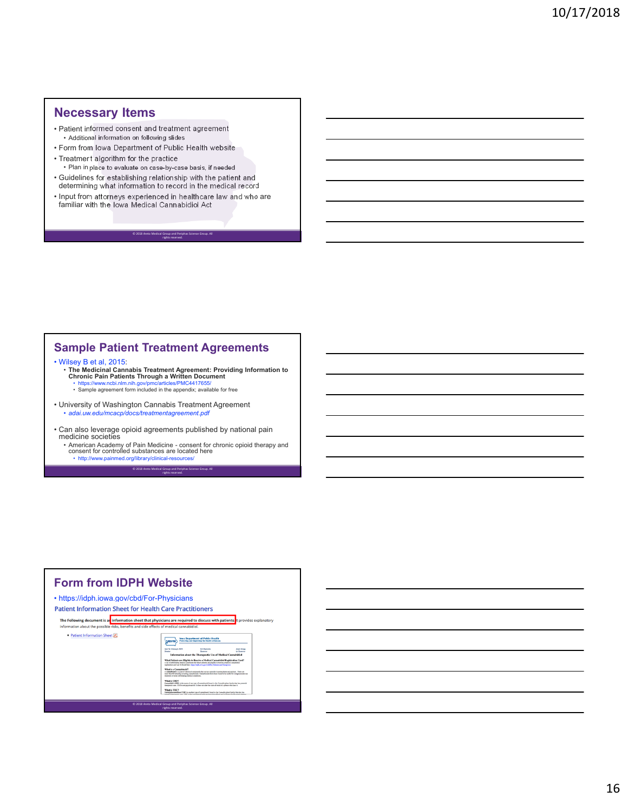#### **Necessary Items**

- Patient informed consent and treatment agreement • Additional information on following slides
- Form from Iowa Department of Public Health website

© 2018 Areto Medical G

- Treatment algorithm for the practice • Plan in place to evaluate on case-by-case basis, if needed
- Guidelines for establishing relationship with the patient and determining what information to record in the medical record
- Input from attorneys experienced in healthcare law and who are familiar with the Iowa Medical Cannabidiol Act

rights reserved.

#### **Sample Patient Treatment Agreements**

• Wilsey B et al, 2015:

• **The Medicinal Cannabis Treatment Agreement: Providing Information to Chronic Pain Patients Through a Written Document** • https://www.ncbi.nlm.nih.gov/pmc/articles/PMC4417655/ • Sample agreement form included in the appendix; available for free

- University of Washington Cannabis Treatment Agreement • *adai.uw.edu/mcacp/docs/treatmentagreement.pdf*
- Can also leverage opioid agreements published by national pain medicine societies
	- American Academy of Pain Medicine consent for chronic opioid therapy and consent for controlled substances are located here • http://www.painmed.org/library/clinical-resources/

rights reserved.

© 2018 Areto Medical Group and Periphas Science Group. All

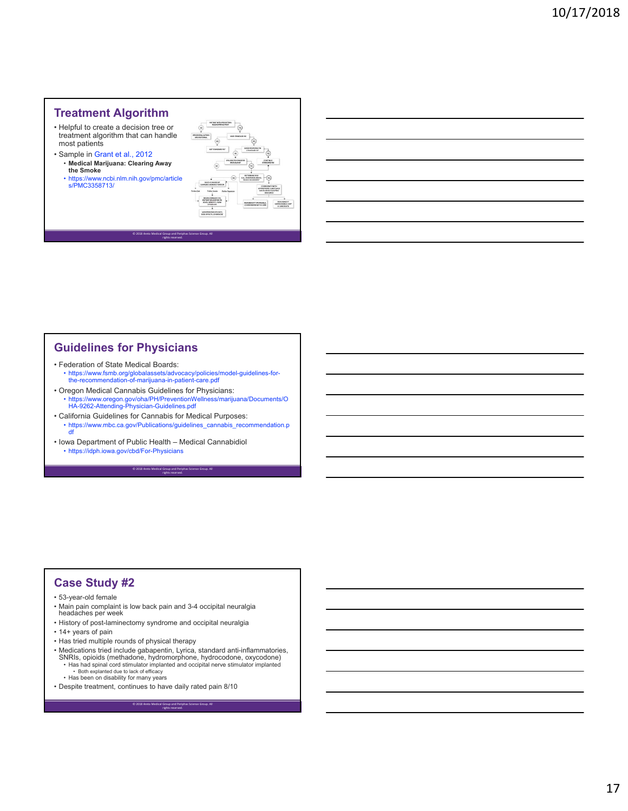#### **Treatment Algorithm**

- Helpful to create a decision tree or treatment algorithm that can handle most patients
- Sample in Grant et al., 2012 • **Medical Marijuana: Clearing Away the Smoke**
	- https://www.ncbi.nlm.nih.gov/pmc/article s/PMC3358713/



#### **Guidelines for Physicians**

• Federation of State Medical Boards: • https://www.fsmb.org/globalassets/advocacy/policies/model-guidelines-for-the-recommendation-of-marijuana-in-patient-care.pdf

© 2018 Areto Medical Group and Periphas Science Group. All rights reserved.

- Oregon Medical Cannabis Guidelines for Physicians: • https://www.oregon.gov/oha/PH/PreventionWellness/marijuana/Documents/O HA-9262-Attending-Physician-Guidelines.pdf
- California Guidelines for Cannabis for Medical Purposes: • https://www.mbc.ca.gov/Publications/guidelines\_cannabis\_recommendation.p df

© 2018 Areto Medical Group and Periphas Science Group. All rights reserved.

• Iowa Department of Public Health – Medical Cannabidiol • https://idph.iowa.gov/cbd/For-Physicians

#### **Case Study #2**

#### • 53-year-old female

- Main pain complaint is low back pain and 3-4 occipital neuralgia headaches per week
- History of post-laminectomy syndrome and occipital neuralgia
- 14+ years of pain
- Has tried multiple rounds of physical therapy
- Medications tried include gabapentin, Lyrica, standard anti-inflammatories, SNRIs, opioids (methadone, hydromorphone, hydrocodone, oxycodone) • Has had spinal cord stimulator implanted and occipital nerve stimulator implanted

- Both explanted due to lack of efficacy • Has been on disability for many years
- Despite treatment, continues to have daily rated pain 8/10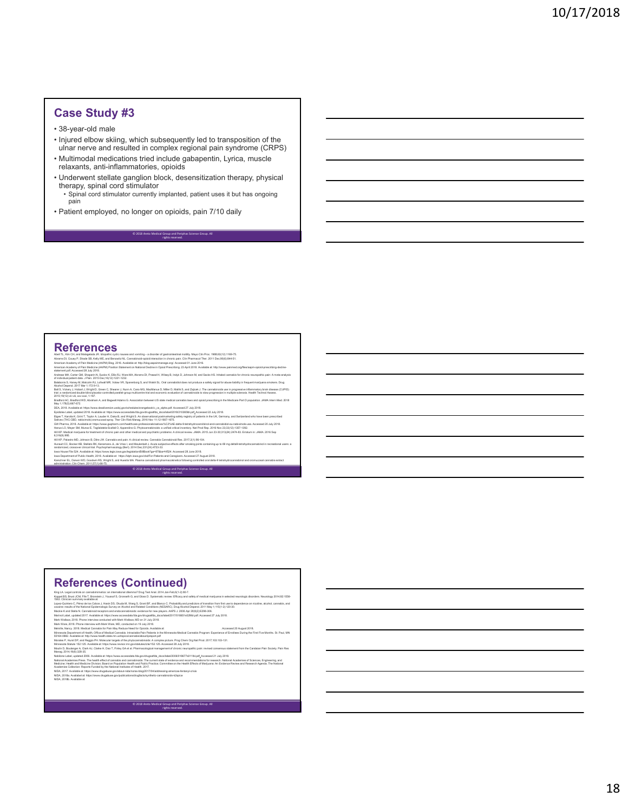#### **Case Study #3**

- 38-year-old male
- Injured elbow skiing, which subsequently led to transposition of the ulnar nerve and resulted in complex regional pain syndrome (CRPS)
- Multimodal medications tried include gabapentin, Lyrica, muscle relaxants, anti-inflammatories, opioids
- Underwent stellate ganglion block, desensitization therapy, physical therapy, spinal cord stimulator
	- Spinal cord stimulator currently implanted, patient uses it but has ongoing pain

© 2018 Areto Medical Group and Periphas Science Group. All rights reserved.

• Patient employed, no longer on opioids, pain 7/10 daily

# **References**<br>Abel TL, Kim CH, and Malagelada JR. Idependix optic nausea<br>Abenard D, Couny P, Shade SB, Kelly ME, and Benowith PL. Canadian<br>American Academy of Pain Madicine (AAPM) Bing, 2016. Availab<br>American Academy of Pai

Abell TL, Kim CH, and Malagelada JR. Idiopathic cyclic nausea and vomiting – a disorder di gastrointestinal motility. May Clin Proc. 1988;63(12):1169-75.<br>Abrams DI, Couey P, Shade SB, Kelly ME, and Benowitz NL. Cannabinsid

- Amerian Academy of Pain Madising (AAPM) Position Statement on National Decline in Opics Press Paints of Maximaters in the May All was interesting of the Statement of May American Content of the Statement of May American St
- 
- 
- 
- 
- 
- Balances S, Henry M. Macche RJ, Lohal IRV, Volume VP, Sparehoop & Lateration and the Machine State of the Company of the Company of the Company of the Company of the Company of the Company of the Company of the Company of

© 2018 Areto Medical Group and Periphas Science Group. All rights reserved.

- 
- 
- HII (P. Paland ND, Johnson B, Dite *VII*). All the American interactions and the Start of the Start of the Start of the Start of the Start of the Start of the Start of the Start of the Start of the Start of the Start of th

#### **References (Continued)**

- King LA. Legal controls on cannabimimetics: an international dilemma? Drug Test Anal. 2014 Jan-Feb;6(1-2):80-7.<br>Koppel BS, Brust JCM, File T; Bronstein J, Youssof S, Gronseth G, and Gloss D. Systematic review: Efficacy and
- Keparital, Burat CAIX. Hirst, Buranomia 1/4 wards 1/4 and Colora 1. By please the material and of metallicans and anti-selected in a selected in a selected in a selected in the selected in the selected in the selected in t
- 
- 
- 
- 
- 
- 
- Nabino Lake, ugatar 2006. Analah et thep./www.accessidas tag avisabative compared in the processe 21 aby 2018.<br>National Hodernies Press The health effect careatis and carried other to state of videoc and nonmeradiones for